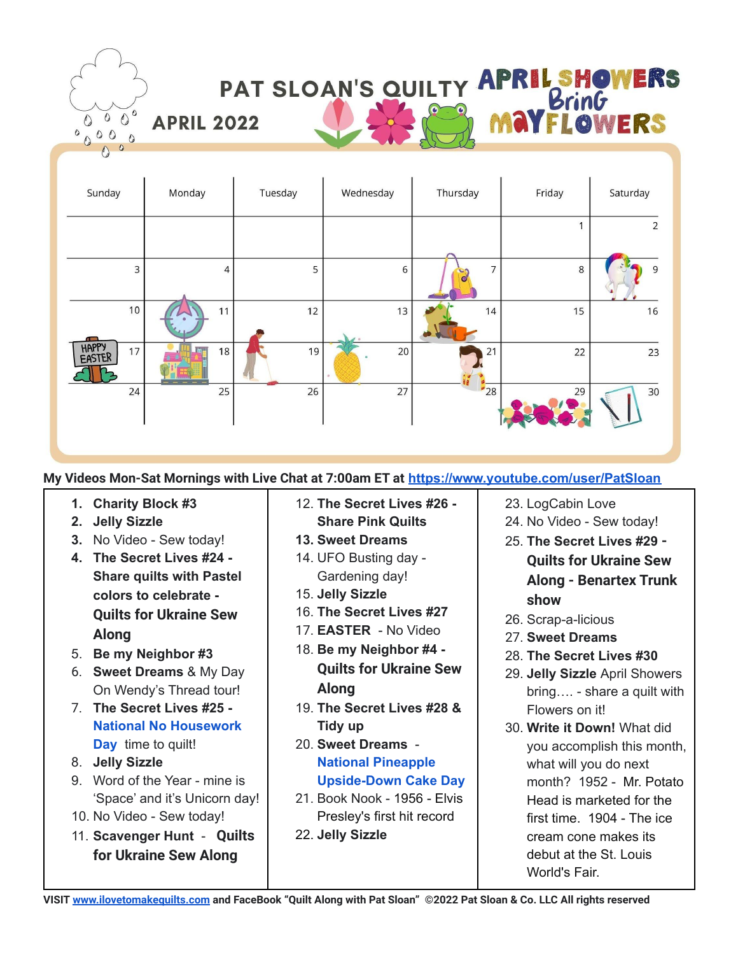

**My Videos Mon-Sat Mornings with Live Chat at 7:00am ET at [https://www.youtube.com/user/PatSloan](https://www.youtube.com/user/PatSloan?sub_confirmation=1)**

- **1. Charity Block #3**
- **2. Jelly Sizzle**
- **3.** No Video Sew today!
- **4. The Secret Lives #24 - Share quilts with Pastel colors to celebrate - Quilts for Ukraine Sew Along**
- 5. **Be my Neighbor #3**
- 6. **Sweet Dreams** & My Day On Wendy's Thread tour!
- 7. **The Secret Lives #25 - National No [Housework](https://nationaltoday.com/national-no-housework-day/) [Day](https://nationaltoday.com/national-no-housework-day/)** time to quilt!
- 8. **Jelly Sizzle**
- 9. Word of the Year mine is 'Space' and it's Unicorn day!
- 10. No Video Sew today!
- 11. **Scavenger Hunt Quilts for Ukraine Sew Along**
- 12. **The Secret Lives #26 - Share Pink Quilts**
- **13. Sweet Dreams**
- 14. UFO Busting day Gardening day!
- 15. **Jelly Sizzle**
- 16. **The Secret Lives #27**
- 17. **EASTER** No Video
- 18. **Be my Neighbor #4 - Quilts for Ukraine Sew Along**
- 19. **The Secret Lives #28 & Tidy up**
- 20. **Sweet Dreams National [Pineapple](https://nationaltoday.com/national-pineapple-upside-cake-day/) [Upside-Down](https://nationaltoday.com/national-pineapple-upside-cake-day/) Cake Day**
- 21. Book Nook 1956 Elvis Presley's first hit record
- 22. **Jelly Sizzle**
- 23. LogCabin Love
- 24. No Video Sew today!
- 25. **The Secret Lives #29 - Quilts for Ukraine Sew Along - Benartex Trunk show**
- 26. Scrap-a-licious
- 27. **Sweet Dreams**
- 28. **The Secret Lives #30**
- 29. **Jelly Sizzle** April Showers bring…. - share a quilt with Flowers on it!
- 30. **Write it Down!** What did you accomplish this month, what will you do next month? 1952 - Mr. Potato Head is marketed for the first time. 1904 - The ice cream cone makes its debut at the St. Louis World's Fair.